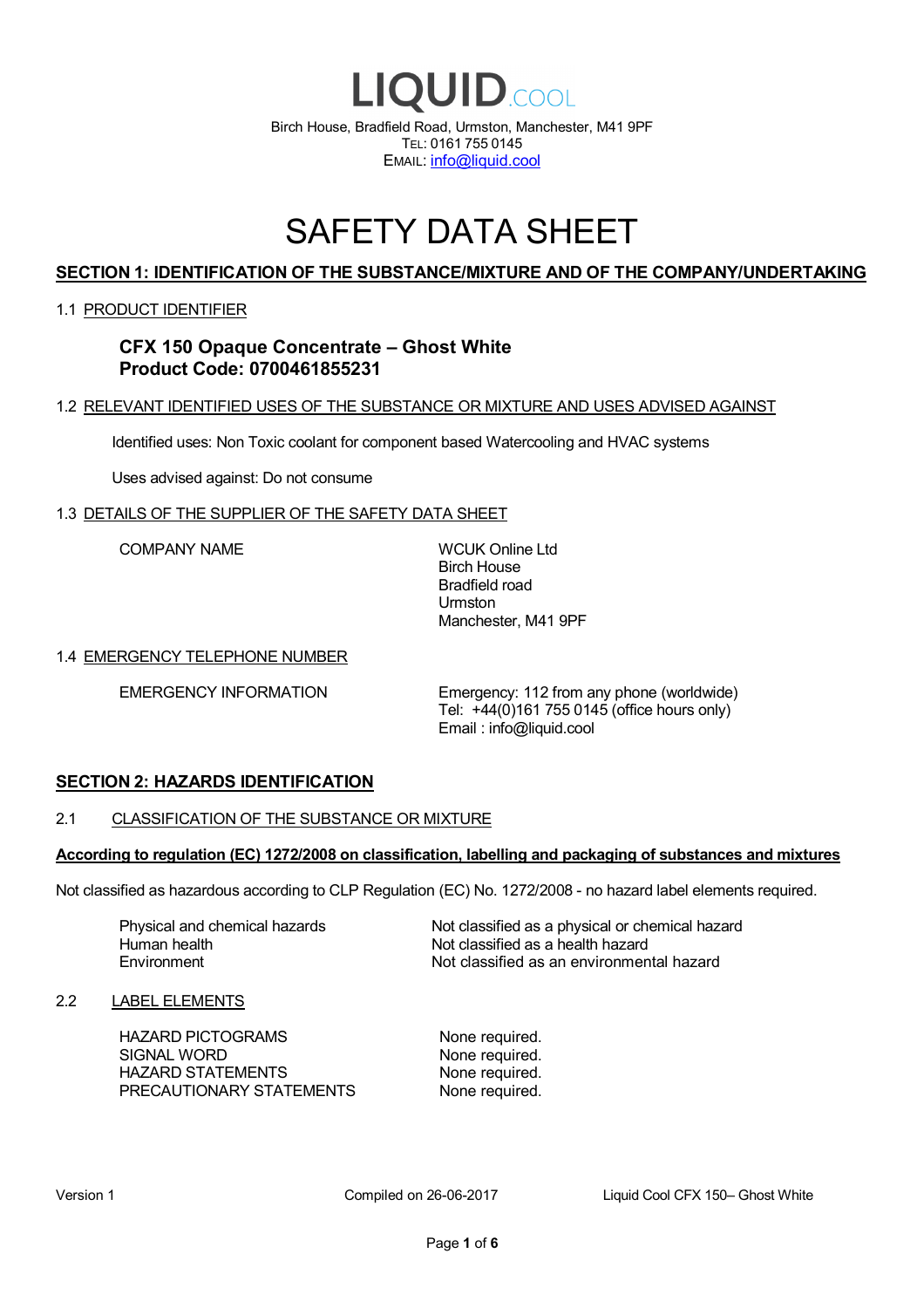

# SAFETY DATA SHEET

# **SECTION 1: IDENTIFICATION OF THE SUBSTANCE/MIXTURE AND OF THE COMPANY/UNDERTAKING**

### 1.1 PRODUCT IDENTIFIER

# **CFX 150 Opaque Concentrate – Ghost White Product Code: 0700461855231**

### 1.2 RELEVANT IDENTIFIED USES OF THE SUBSTANCE OR MIXTURE AND USES ADVISED AGAINST

Identified uses: Non Toxic coolant for component based Watercooling and HVAC systems

Uses advised against: Do not consume

### 1.3 DETAILS OF THE SUPPLIER OF THE SAFETY DATA SHEET

COMPANY NAME WCUK Online Ltd

Birch House Bradfield road Urmston Manchester, M41 9PF

### 1.4 EMERGENCY TELEPHONE NUMBER

EMERGENCY INFORMATION Emergency: 112 from any phone (worldwide) Tel: +44(0)161 755 0145 (office hours only) Email : info@liquid.cool

# **SECTION 2: HAZARDS IDENTIFICATION**

### 2.1 CLASSIFICATION OF THE SUBSTANCE OR MIXTURE

### **According to regulation (EC) 1272/2008 on classification, labelling and packaging of substances and mixtures**

Not classified as hazardous according to CLP Regulation (EC) No. 1272/2008 - no hazard label elements required.

Human health **Environment** 

Physical and chemical hazards Not classified as a physical or chemical hazard Not classified as a health hazard Not classified as an environmental hazard

### 2.2 LABEL ELEMENTS

HAZARD PICTOGRAMS None required. SIGNAL WORD None required. HAZARD STATEMENTS None required. PRECAUTIONARY STATEMENTS None required.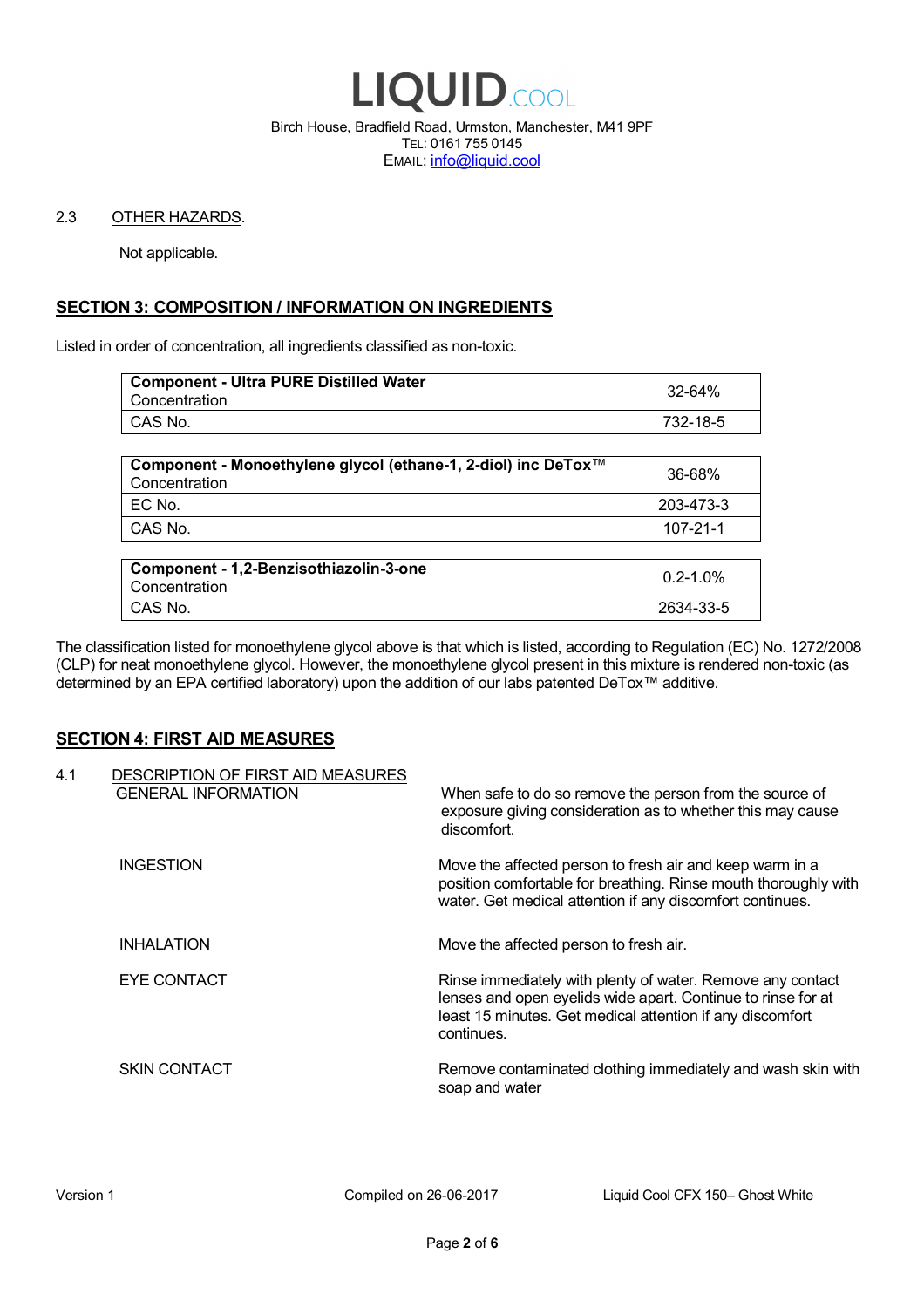

Birch House, Bradfield Road, Urmston, Manchester, M41 9PF TEL: 0161 755 0145 EMAIL: info@liquid.cool

### 2.3 OTHER HAZARDS.

Not applicable.

# **SECTION 3: COMPOSITION / INFORMATION ON INGREDIENTS**

Listed in order of concentration, all ingredients classified as non-toxic.

| <b>Component - Ultra PURE Distilled Water</b><br>Concentration | 32-64%   |
|----------------------------------------------------------------|----------|
| CAS No.                                                        | 732-18-5 |
|                                                                |          |

| Component - Monoethylene glycol (ethane-1, 2-diol) inc DeTox™<br>Concentration | 36-68%    |
|--------------------------------------------------------------------------------|-----------|
| ' EC No.                                                                       | 203-473-3 |
| ∣ CAS No.                                                                      | 107-21-1  |

| Component - 1,2-Benzisothiazolin-3-one<br>Concentration | $0.2 - 1.0\%$ |
|---------------------------------------------------------|---------------|
| CAS No.                                                 | 2634-33-5     |

The classification listed for monoethylene glycol above is that which is listed, according to Regulation (EC) No. 1272/2008 (CLP) for neat monoethylene glycol. However, the monoethylene glycol present in this mixture is rendered non-toxic (as determined by an EPA certified laboratory) upon the addition of our labs patented DeTox™ additive.

### **SECTION 4: FIRST AID MEASURES**

| 4.1 | DESCRIPTION OF FIRST AID MEASURES<br><b>GENERAL INFORMATION</b> | When safe to do so remove the person from the source of<br>exposure giving consideration as to whether this may cause<br>discomfort.                                                                  |
|-----|-----------------------------------------------------------------|-------------------------------------------------------------------------------------------------------------------------------------------------------------------------------------------------------|
|     | <b>INGESTION</b>                                                | Move the affected person to fresh air and keep warm in a<br>position comfortable for breathing. Rinse mouth thoroughly with<br>water. Get medical attention if any discomfort continues.              |
|     | <b>INHALATION</b>                                               | Move the affected person to fresh air.                                                                                                                                                                |
|     | EYE CONTACT                                                     | Rinse immediately with plenty of water. Remove any contact<br>lenses and open eyelids wide apart. Continue to rinse for at<br>least 15 minutes. Get medical attention if any discomfort<br>continues. |
|     | <b>SKIN CONTACT</b>                                             | Remove contaminated clothing immediately and wash skin with<br>soap and water                                                                                                                         |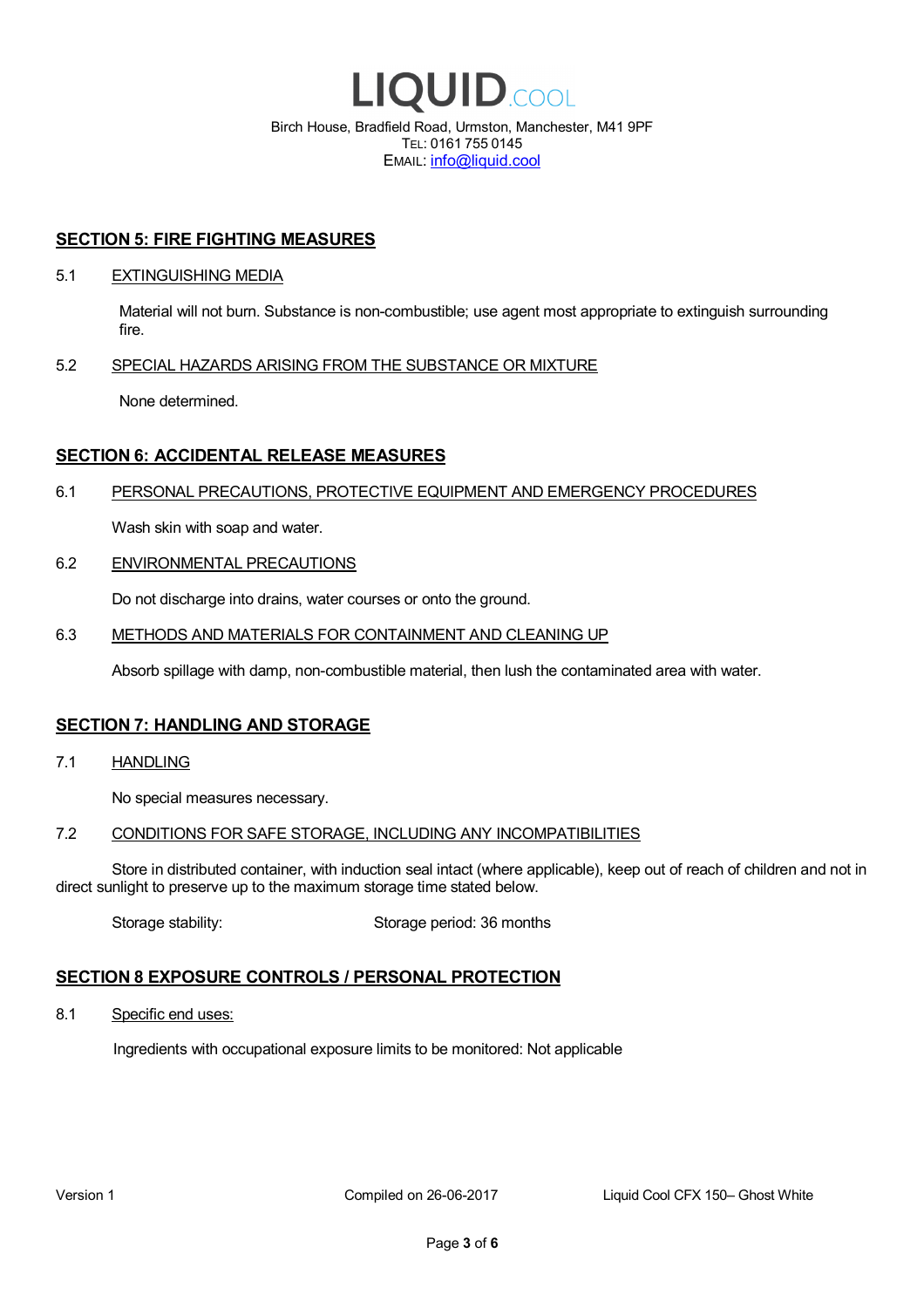

EMAIL: info@liquid.cool

### **SECTION 5: FIRE FIGHTING MEASURES**

### 5.1 EXTINGUISHING MEDIA

Material will not burn. Substance is non-combustible; use agent most appropriate to extinguish surrounding fire.

### 5.2 SPECIAL HAZARDS ARISING FROM THE SUBSTANCE OR MIXTURE

None determined.

## **SECTION 6: ACCIDENTAL RELEASE MEASURES**

### 6.1 PERSONAL PRECAUTIONS, PROTECTIVE EQUIPMENT AND EMERGENCY PROCEDURES

Wash skin with soap and water.

### 6.2 ENVIRONMENTAL PRECAUTIONS

Do not discharge into drains, water courses or onto the ground.

### 6.3 METHODS AND MATERIALS FOR CONTAINMENT AND CLEANING UP

Absorb spillage with damp, non-combustible material, then lush the contaminated area with water.

### **SECTION 7: HANDLING AND STORAGE**

7.1 HANDLING

No special measures necessary.

### 7.2 CONDITIONS FOR SAFE STORAGE, INCLUDING ANY INCOMPATIBILITIES

Store in distributed container, with induction seal intact (where applicable), keep out of reach of children and not in direct sunlight to preserve up to the maximum storage time stated below.

Storage stability: Storage period: 36 months

# **SECTION 8 EXPOSURE CONTROLS / PERSONAL PROTECTION**

8.1 Specific end uses:

Ingredients with occupational exposure limits to be monitored: Not applicable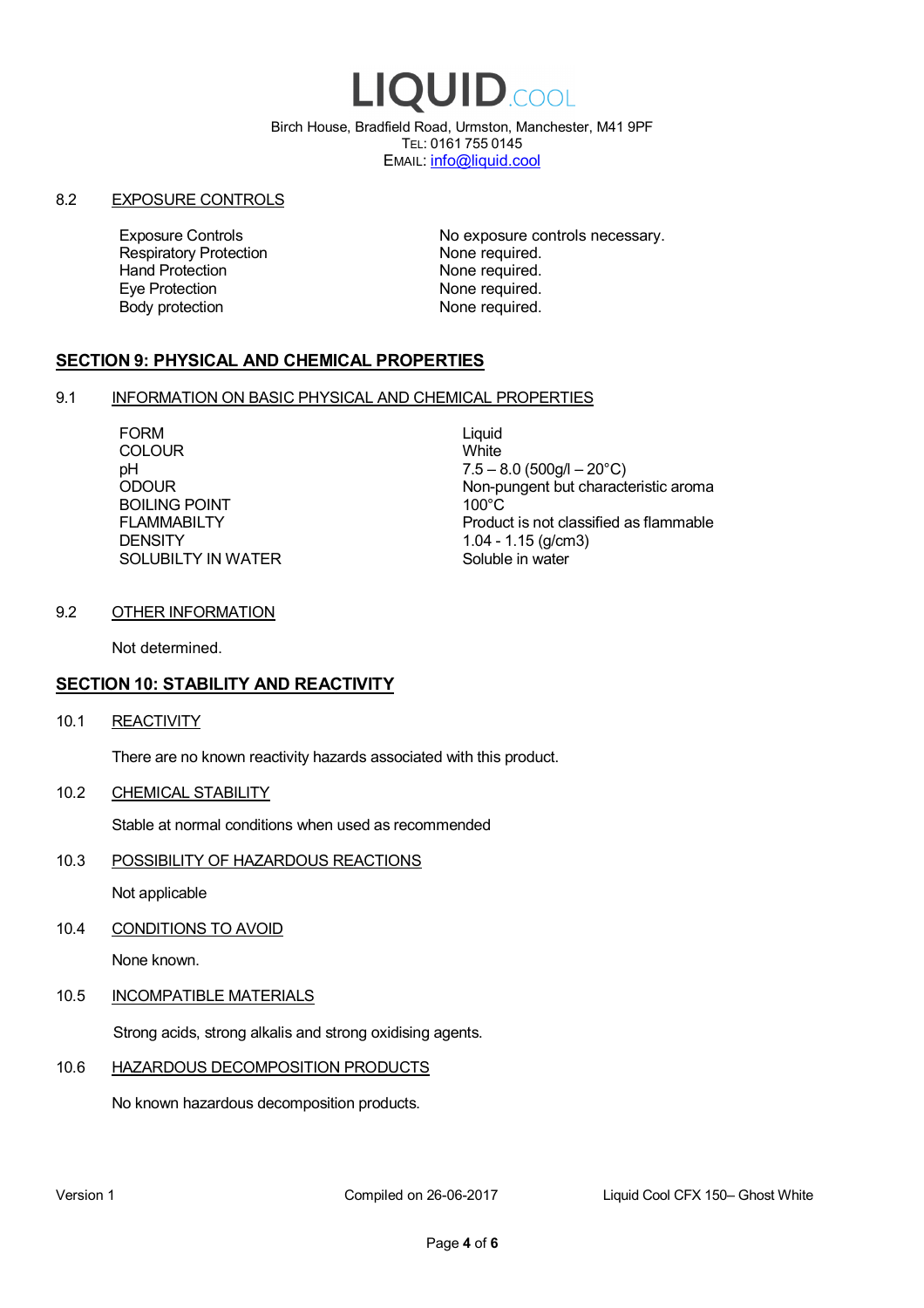# LIQUID.COOL

Birch House, Bradfield Road, Urmston, Manchester, M41 9PF TEL: 0161 755 0145 EMAIL: info@liquid.cool

### 8.2 EXPOSURE CONTROLS

Respiratory Protection **None required.**<br>
Hand Protection **None required.** Eye Protection **None required.** Body protection None required.

Exposure Controls **Exposure Controls** No exposure controls necessary. None required.

# **SECTION 9: PHYSICAL AND CHEMICAL PROPERTIES**

### 9.1 INFORMATION ON BASIC PHYSICAL AND CHEMICAL PROPERTIES

FORM Liquid<br>COLOUR Mite **COLOUR** BOILING POINT FLAMMABILTY **DENSITY** SOLUBILTY IN WATER

pH<br>
DDOUR
20°C)
2000UR
2000UR
2000UR
2000UR Non-pungent but characteristic aroma 100°C Product is not classified as flammable 1.04 - 1.15 (g/cm3) Soluble in water

## 9.2 OTHER INFORMATION

Not determined.

# **SECTION 10: STABILITY AND REACTIVITY**

10.1 REACTIVITY

There are no known reactivity hazards associated with this product.

10.2 CHEMICAL STABILITY

Stable at normal conditions when used as recommended

10.3 POSSIBILITY OF HAZARDOUS REACTIONS

Not applicable

10.4 CONDITIONS TO AVOID

None known.

### 10.5 INCOMPATIBLE MATERIALS

Strong acids, strong alkalis and strong oxidising agents.

# 10.6 HAZARDOUS DECOMPOSITION PRODUCTS

No known hazardous decomposition products.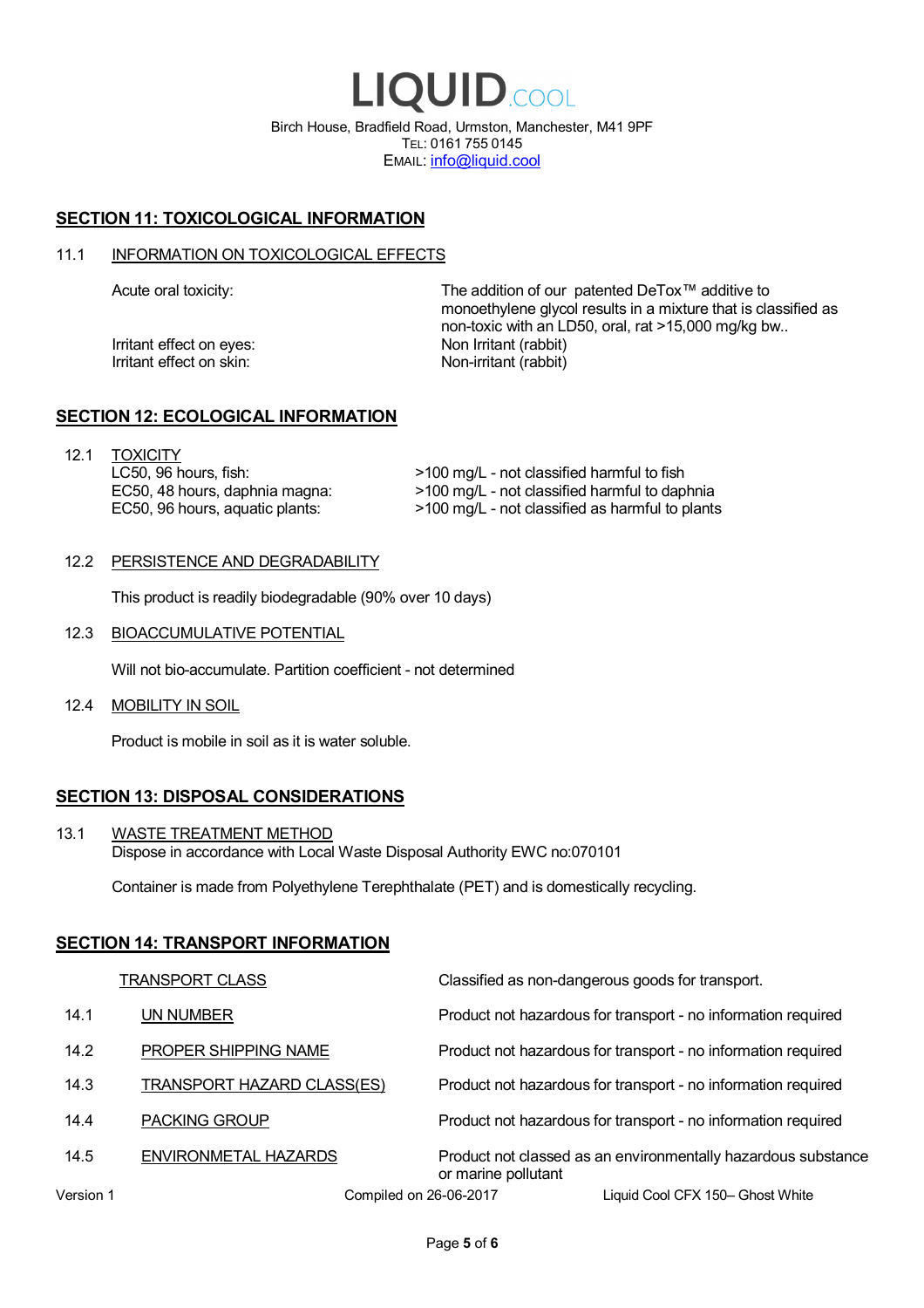LIQUID.COOL Birch House, Bradfield Road, Urmston, Manchester, M41 9PF TEL: 0161 755 0145 EMAIL: info@liquid.cool

# **SECTION 11: TOXICOLOGICAL INFORMATION**

### 11.1 INFORMATION ON TOXICOLOGICAL EFFECTS

Irritant effect on eves: Non Irritant (rabbit) Irritant effect on skin: Non-irritant (rabbit)

Acute oral toxicity: The addition of our patented DeTox™ additive to monoethylene glycol results in a mixture that is classified as non-toxic with an LD50, oral, rat >15,000 mg/kg bw..

### **SECTION 12: ECOLOGICAL INFORMATION**

12.1 TOXICITY LC50, 96 hours, fish: EC50, 48 hours, daphnia magna: EC50, 96 hours, aquatic plants:

>100 mg/L - not classified harmful to fish >100 mg/L - not classified harmful to daphnia >100 mg/L - not classified as harmful to plants

### 12.2 PERSISTENCE AND DEGRADABILITY

This product is readily biodegradable (90% over 10 days)

12.3 BIOACCUMULATIVE POTENTIAL

Will not bio-accumulate. Partition coefficient - not determined

12.4 MOBILITY IN SOIL

Product is mobile in soil as it is water soluble.

# **SECTION 13: DISPOSAL CONSIDERATIONS**

13.1 WASTE TREATMENT METHOD Dispose in accordance with Local Waste Disposal Authority EWC no:070101

Container is made from Polyethylene Terephthalate (PET) and is domestically recycling.

### **SECTION 14: TRANSPORT INFORMATION**

|           | <b>TRANSPORT CLASS</b>            | Classified as non-dangerous goods for transport.                                     |
|-----------|-----------------------------------|--------------------------------------------------------------------------------------|
| 14.1      | UN NUMBER                         | Product not hazardous for transport - no information required                        |
| 14.2      | PROPER SHIPPING NAME              | Product not hazardous for transport - no information required                        |
| 14.3      | <b>TRANSPORT HAZARD CLASS(ES)</b> | Product not hazardous for transport - no information required                        |
| 14.4      | <b>PACKING GROUP</b>              | Product not hazardous for transport - no information required                        |
| 14.5      | ENVIRONMETAL HAZARDS              | Product not classed as an environmentally hazardous substance<br>or marine pollutant |
| Version 1 | Compiled on 26-06-2017            | Liquid Cool CFX 150- Ghost White                                                     |